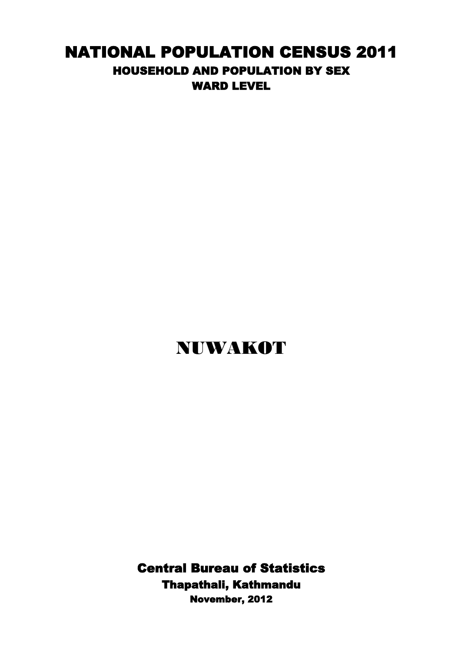## NATIONAL POPULATION CENSUS 2011 HOUSEHOLD AND POPULATION BY SEX WARD LEVEL

## NUWAKOT

Central Bureau of Statistics Thapathali, Kathmandu November, 2012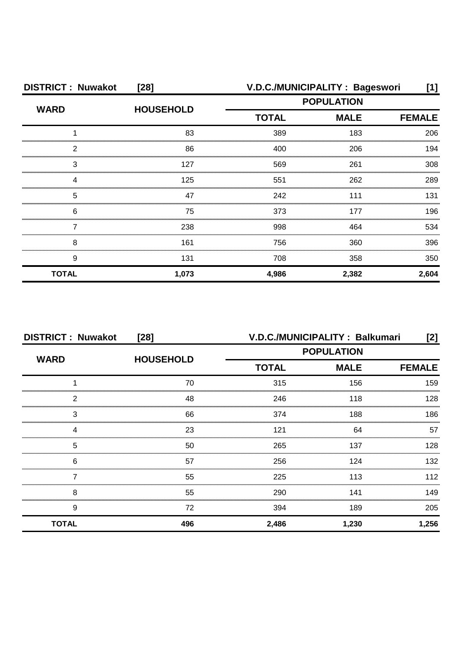| <b>DISTRICT: Nuwakot</b> | $[28]$           | V.D.C./MUNICIPALITY: Bageswori<br>[1]        |       |       |
|--------------------------|------------------|----------------------------------------------|-------|-------|
| <b>WARD</b>              | <b>HOUSEHOLD</b> | <b>POPULATION</b>                            |       |       |
|                          |                  | <b>TOTAL</b><br><b>MALE</b><br><b>FEMALE</b> |       |       |
|                          | 83               | 389                                          | 183   | 206   |
| 2                        | 86               | 400                                          | 206   | 194   |
| 3                        | 127              | 569                                          | 261   | 308   |
|                          | 125              | 551                                          | 262   | 289   |
| 5                        | 47               | 242                                          | 111   | 131   |
| 6                        | 75               | 373                                          | 177   | 196   |
|                          | 238              | 998                                          | 464   | 534   |
| 8                        | 161              | 756                                          | 360   | 396   |
| 9                        | 131              | 708                                          | 358   | 350   |
| <b>TOTAL</b>             | 1,073            | 4,986                                        | 2,382 | 2,604 |

| <b>DISTRICT: Nuwakot</b><br>$[28]$ |                  | V.D.C./MUNICIPALITY: Balkumari<br>[2] |                              |       |  |
|------------------------------------|------------------|---------------------------------------|------------------------------|-------|--|
|                                    |                  | <b>POPULATION</b>                     |                              |       |  |
| <b>WARD</b>                        | <b>HOUSEHOLD</b> | <b>TOTAL</b>                          | <b>MALE</b><br><b>FEMALE</b> |       |  |
|                                    | 70               | 315                                   | 156                          | 159   |  |
| 2                                  | 48               | 246                                   | 118                          | 128   |  |
| 3                                  | 66               | 374                                   | 188                          | 186   |  |
| Δ                                  | 23               | 121                                   | 64                           | 57    |  |
| 5                                  | 50               | 265                                   | 137                          | 128   |  |
| 6                                  | 57               | 256                                   | 124                          | 132   |  |
|                                    | 55               | 225                                   | 113                          | 112   |  |
| 8                                  | 55               | 290                                   | 141                          | 149   |  |
| 9                                  | 72               | 394                                   | 189                          | 205   |  |
| <b>TOTAL</b>                       | 496              | 2,486                                 | 1,230                        | 1,256 |  |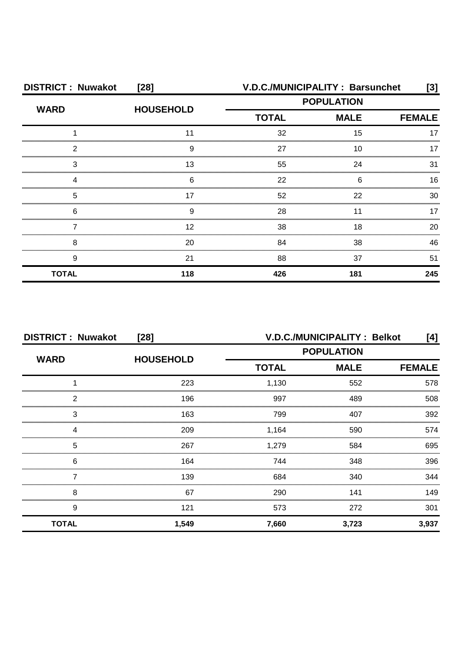| <b>DISTRICT: Nuwakot</b><br>$[28]$ |                  | V.D.C./MUNICIPALITY: Barsunchet<br>[3] |     |               |
|------------------------------------|------------------|----------------------------------------|-----|---------------|
| <b>WARD</b>                        | <b>HOUSEHOLD</b> | <b>POPULATION</b>                      |     |               |
|                                    |                  | <b>MALE</b><br><b>TOTAL</b>            |     | <b>FEMALE</b> |
|                                    |                  | 32                                     | 15  |               |
| ົ                                  | 9                | 27                                     | 10  |               |
| 3                                  | 13               | 55                                     | 24  | 31            |
|                                    | 6                | 22                                     | 6   | 16            |
| 5                                  | 17               | 52                                     | 22  | 30            |
| 6                                  | 9                | 28                                     |     | 17            |
|                                    | 12               | 38                                     | 18  | 20            |
| 8                                  | 20               | 84                                     | 38  | 46            |
| 9                                  | 21               | 88                                     | 37  | 51            |
| <b>TOTAL</b>                       | 118              | 426                                    | 181 | 245           |

| <b>DISTRICT: Nuwakot</b><br>$[28]$ |                  | V.D.C./MUNICIPALITY: Belkot<br>[4] |                              |       |  |  |
|------------------------------------|------------------|------------------------------------|------------------------------|-------|--|--|
| <b>WARD</b>                        | <b>HOUSEHOLD</b> | <b>POPULATION</b>                  |                              |       |  |  |
|                                    |                  | <b>TOTAL</b>                       | <b>MALE</b><br><b>FEMALE</b> |       |  |  |
|                                    | 223              | 1,130                              | 552                          | 578   |  |  |
| っ                                  | 196              | 997                                | 489                          | 508   |  |  |
| 3                                  | 163              | 799                                | 407                          | 392   |  |  |
|                                    | 209              | 1,164                              | 590                          | 574   |  |  |
| 5                                  | 267              | 1,279                              | 584                          | 695   |  |  |
| 6                                  | 164              | 744                                | 348                          | 396   |  |  |
|                                    | 139              | 684                                | 340                          | 344   |  |  |
| 8                                  | 67               | 290                                | 141                          | 149   |  |  |
| 9                                  | 121              | 573                                | 272                          | 301   |  |  |
| <b>TOTAL</b>                       | 1,549            | 7,660                              | 3,723                        | 3,937 |  |  |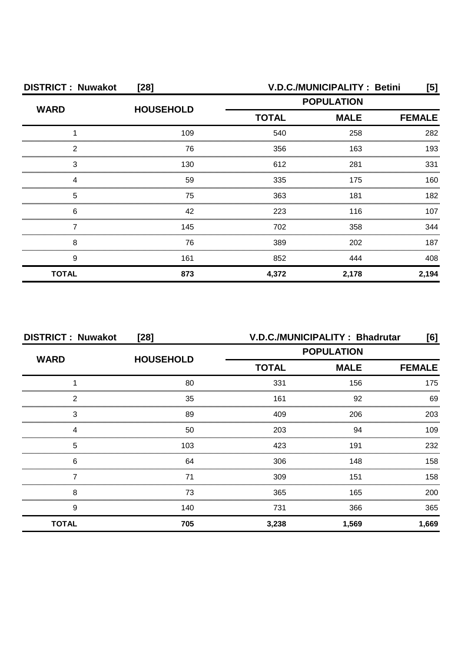| <b>DISTRICT: Nuwakot</b><br>$[28]$ |                  | <b>V.D.C./MUNICIPALITY: Betini</b><br>[5] |                              |       |
|------------------------------------|------------------|-------------------------------------------|------------------------------|-------|
| <b>WARD</b>                        | <b>HOUSEHOLD</b> | <b>POPULATION</b>                         |                              |       |
|                                    |                  | <b>TOTAL</b>                              | <b>MALE</b><br><b>FEMALE</b> |       |
|                                    | 109              | 540                                       | 258                          | 282   |
| 2                                  | 76               | 356                                       | 163                          | 193   |
| З                                  | 130              | 612                                       | 281                          | 331   |
|                                    | 59               | 335                                       | 175                          | 160   |
| 5                                  | 75               | 363                                       | 181                          | 182   |
| 6                                  | 42               | 223                                       | 116                          | 107   |
|                                    | 145              | 702                                       | 358                          | 344   |
| 8                                  | 76               | 389                                       | 202                          | 187   |
| 9                                  | 161              | 852                                       | 444                          | 408   |
| <b>TOTAL</b>                       | 873              | 4,372                                     | 2,178                        | 2,194 |

| <b>DISTRICT: Nuwakot</b><br>$[28]$ |                  | V.D.C./MUNICIPALITY: Bhadrutar<br>[6] |                              |       |  |
|------------------------------------|------------------|---------------------------------------|------------------------------|-------|--|
|                                    |                  | <b>POPULATION</b>                     |                              |       |  |
| <b>WARD</b>                        | <b>HOUSEHOLD</b> | <b>TOTAL</b>                          | <b>MALE</b><br><b>FEMALE</b> |       |  |
|                                    | 80               | 331                                   | 156                          | 175   |  |
| 2                                  | 35               | 161                                   | 92                           | 69    |  |
| 3                                  | 89               | 409                                   | 206                          | 203   |  |
| 4                                  | 50               | 203                                   | 94                           | 109   |  |
| 5                                  | 103              | 423                                   | 191                          | 232   |  |
| 6                                  | 64               | 306                                   | 148                          | 158   |  |
|                                    | 71               | 309                                   | 151                          | 158   |  |
| 8                                  | 73               | 365                                   | 165                          | 200   |  |
| 9                                  | 140              | 731                                   | 366                          | 365   |  |
| <b>TOTAL</b>                       | 705              | 3,238                                 | 1,569                        | 1,669 |  |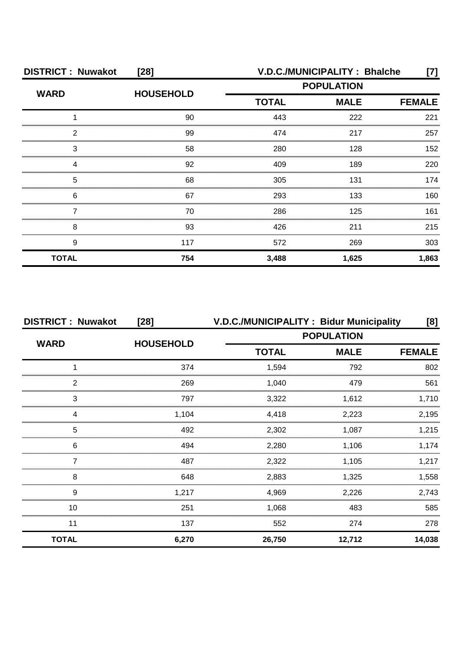| <b>DISTRICT: Nuwakot</b> | $[28]$           | V.D.C./MUNICIPALITY: Bhalche<br>$[7]$ |             |               |
|--------------------------|------------------|---------------------------------------|-------------|---------------|
| <b>WARD</b>              | <b>HOUSEHOLD</b> | <b>POPULATION</b>                     |             |               |
|                          |                  | <b>TOTAL</b>                          | <b>MALE</b> | <b>FEMALE</b> |
|                          | 90               | 443                                   | 222         | 221           |
| 2                        | 99               | 474                                   | 217         | 257           |
| 3                        | 58               | 280                                   | 128         | 152           |
|                          | 92               | 409                                   | 189         | 220           |
| 5                        | 68               | 305                                   | 131         | 174           |
| 6                        | 67               | 293                                   | 133         | 160           |
|                          | 70               | 286                                   | 125         | 161           |
| 8                        | 93               | 426                                   | 211         | 215           |
| 9                        | 117              | 572                                   | 269         | 303           |
| <b>TOTAL</b>             | 754              | 3,488                                 | 1,625       | 1,863         |

| <b>DISTRICT: Nuwakot</b> | $[28]$           | V.D.C./MUNICIPALITY: Bidur Municipality |             | [8]           |
|--------------------------|------------------|-----------------------------------------|-------------|---------------|
|                          |                  | <b>POPULATION</b>                       |             |               |
| <b>WARD</b>              | <b>HOUSEHOLD</b> | <b>TOTAL</b>                            | <b>MALE</b> | <b>FEMALE</b> |
|                          | 374              | 1,594                                   | 792         | 802           |
| 2                        | 269              | 1,040                                   | 479         | 561           |
| 3                        | 797              | 3,322                                   | 1,612       | 1.710         |
|                          | 1,104            | 4,418                                   | 2,223       | 2,195         |
| 5                        | 492              | 2,302                                   | 1,087       | 1.215         |
| h                        | 494              | 2,280                                   | 1,106       | 1.174         |
|                          | 487              | 2,322                                   | 1,105       | 1.217         |
| 8                        | 648              | 2,883                                   | 1,325       | 1,558         |
| 9                        | 1,217            | 4,969                                   | 2,226       | 2,743         |
| 10                       | 251              | 1,068                                   | 483         | 585           |
| 11                       | 137              | 552                                     | 274         | 278           |
| <b>TOTAL</b>             | 6,270            | 26,750                                  | 12,712      | 14,038        |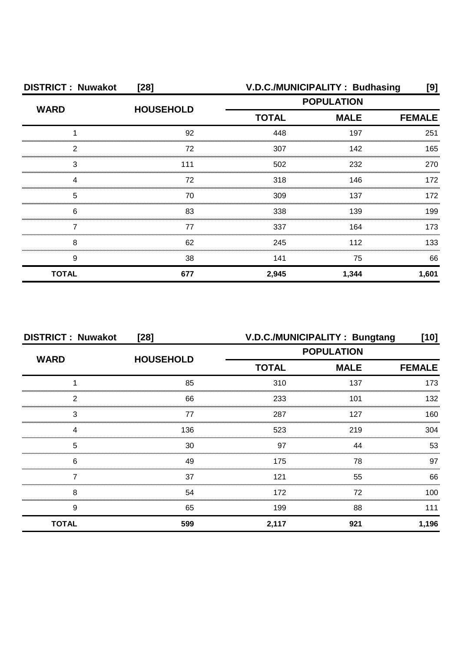| <b>DISTRICT: Nuwakot</b> | $[28]$           |                   | V.D.C./MUNICIPALITY: Budhasing | [9]   |  |
|--------------------------|------------------|-------------------|--------------------------------|-------|--|
| <b>WARD</b>              | <b>HOUSEHOLD</b> | <b>POPULATION</b> |                                |       |  |
|                          |                  | <b>TOTAL</b>      | <b>MALE</b><br><b>FEMALE</b>   |       |  |
|                          | 92               | 448               | 197                            | 251   |  |
| 2                        | 72               | 307               | 142                            | 165   |  |
| З                        | 111              | 502               | 232                            | 270   |  |
|                          | 72               | 318               | 146                            | 172   |  |
| 5                        | 70               | 309               | 137                            | 172   |  |
| 6                        | 83               | 338               | 139                            | 199   |  |
|                          | 77               | 337               | 164                            | 173   |  |
| 8                        | 62               | 245               | 112                            | 133   |  |
| 9                        | 38               | 141               | 75                             | 66    |  |
| <b>TOTAL</b>             | 677              | 2,945             | 1,344                          | 1,601 |  |

| <b>DISTRICT: Nuwakot</b><br>$[28]$ |                  | V.D.C./MUNICIPALITY: Bungtang<br>[10] |             |               |
|------------------------------------|------------------|---------------------------------------|-------------|---------------|
|                                    |                  | <b>POPULATION</b>                     |             |               |
| <b>WARD</b>                        | <b>HOUSEHOLD</b> | <b>TOTAL</b>                          | <b>MALE</b> | <b>FEMALE</b> |
|                                    | 85               | 310                                   | 137         | 173           |
| 2                                  | 66               | 233                                   | 101         | 132           |
| 3                                  | 77               | 287                                   | 127         | 160.          |
| 4                                  | 136              | 523                                   | 219         | 304           |
| 5                                  | 30               | 97                                    | 44          | 53            |
| 6                                  | 49               | 175                                   | 78          | 97            |
|                                    | 37               | 121                                   | 55          | 66            |
| 8                                  | 54               | 172                                   | 72          | 100           |
| 9                                  | 65               | 199                                   | 88          | 111           |
| <b>TOTAL</b>                       | 599              | 2,117                                 | 921         | 1,196         |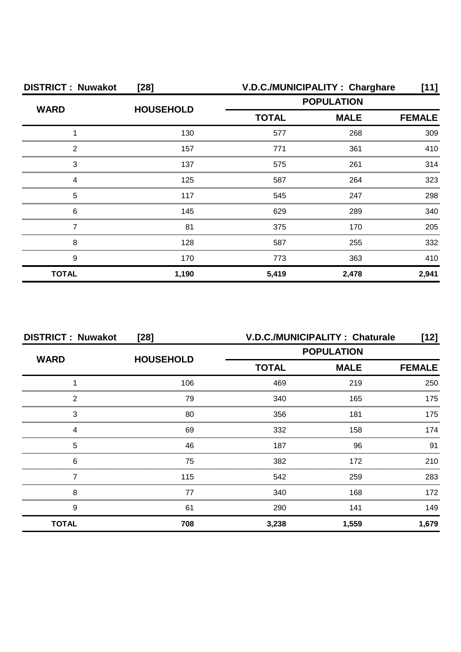| <b>DISTRICT: Nuwakot</b> | $[28]$           |              | V.D.C./MUNICIPALITY: Charghare | [11]  |
|--------------------------|------------------|--------------|--------------------------------|-------|
| <b>WARD</b>              | <b>HOUSEHOLD</b> |              | <b>POPULATION</b>              |       |
|                          |                  | <b>TOTAL</b> | <b>MALE</b>                    |       |
|                          | 130              | 577          | 268                            | 309   |
| っ                        | 157              | 771          | 361                            | 410   |
| 3                        | 137              | 575          | 261                            | 314   |
|                          | 125              | 587          | 264                            | 323   |
| 5                        | 117              | 545          | 247                            | 298   |
| 6                        | 145              | 629          | 289                            | 340   |
|                          | 81               | 375          | 170                            | 205   |
| 8                        | 128              | 587          | 255                            | 332   |
| 9                        | 170              | 773          | 363                            | 410   |
| <b>TOTAL</b>             | 1,190            | 5,419        | 2,478                          | 2,941 |

| <b>DISTRICT: Nuwakot</b><br>$[28]$ |                  | V.D.C./MUNICIPALITY: Chaturale<br>[12] |             |               |
|------------------------------------|------------------|----------------------------------------|-------------|---------------|
| <b>WARD</b>                        | <b>HOUSEHOLD</b> | <b>POPULATION</b>                      |             |               |
|                                    |                  | <b>TOTAL</b>                           | <b>MALE</b> | <b>FEMALE</b> |
|                                    | 106              | 469                                    | 219         | 250           |
| 2                                  | 79               | 340                                    | 165         | 175           |
| 3                                  | 80               | 356                                    | 181         | 175           |
| 4                                  | 69               | 332                                    | 158         | 174           |
| 5                                  | 46               | 187                                    | 96          | 91            |
| 6                                  | 75               | 382                                    | 172         | 210           |
|                                    | 115              | 542                                    | 259         | 283           |
| 8                                  | 77               | 340                                    | 168         | 172           |
| 9                                  | 61               | 290                                    | 141         | 149           |
| <b>TOTAL</b>                       | 708              | 3,238                                  | 1,559       | 1,679         |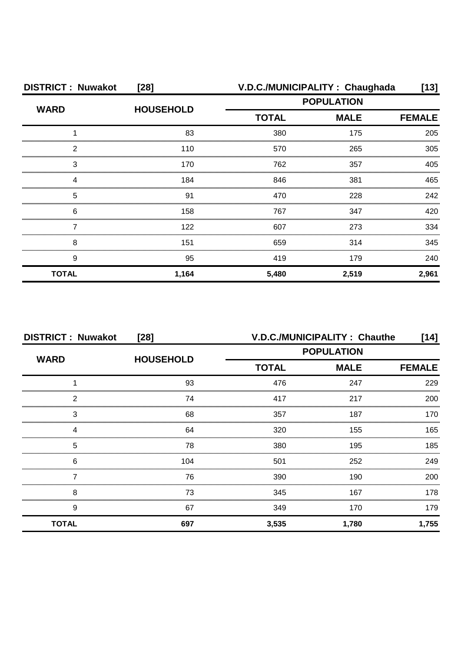| <b>DISTRICT: Nuwakot</b><br>$[28]$ |                  | V.D.C./MUNICIPALITY: Chaughada<br>[13]           |       |               |
|------------------------------------|------------------|--------------------------------------------------|-------|---------------|
| <b>WARD</b>                        | <b>HOUSEHOLD</b> | <b>POPULATION</b><br><b>MALE</b><br><b>TOTAL</b> |       |               |
|                                    |                  |                                                  |       | <b>FEMALE</b> |
|                                    | 83               | 380                                              | 175   | 205           |
| 2                                  | 110              | 570                                              | 265   | 305           |
| 3                                  | 170              | 762                                              | 357   | 405           |
|                                    | 184              | 846                                              | 381   | 465           |
| 5                                  | 91               | 470                                              | 228   | 242           |
| 6                                  | 158              | 767                                              | 347   | 420           |
|                                    | 122              | 607                                              | 273   | 334           |
| 8                                  | 151              | 659                                              | 314   | 345           |
| 9                                  | 95               | 419                                              | 179   | 240           |
| <b>TOTAL</b>                       | 1,164            | 5,480                                            | 2,519 | 2,961         |

| <b>DISTRICT: Nuwakot</b> | $[28]$           | V.D.C./MUNICIPALITY: Chauthe<br>[14] |                              |       |  |  |
|--------------------------|------------------|--------------------------------------|------------------------------|-------|--|--|
| <b>WARD</b>              | <b>HOUSEHOLD</b> |                                      | <b>POPULATION</b>            |       |  |  |
|                          |                  | <b>TOTAL</b>                         | <b>MALE</b><br><b>FEMALE</b> |       |  |  |
|                          | 93               | 476                                  | 247                          | 229   |  |  |
| 2                        | 74               | 417                                  | 217                          | 200   |  |  |
| 3                        | 68               | 357                                  | 187                          | 170   |  |  |
|                          | 64               | 320                                  | 155                          | 165   |  |  |
| 5                        | 78               | 380                                  | 195                          | 185   |  |  |
| 6                        | 104              | 501                                  | 252                          | 249   |  |  |
|                          | 76               | 390                                  | 190                          | 200   |  |  |
| 8                        | 73               | 345                                  | 167                          | 178   |  |  |
| 9                        | 67               | 349                                  | 170                          | 179   |  |  |
| <b>TOTAL</b>             | 697              | 3,535                                | 1,780                        | 1,755 |  |  |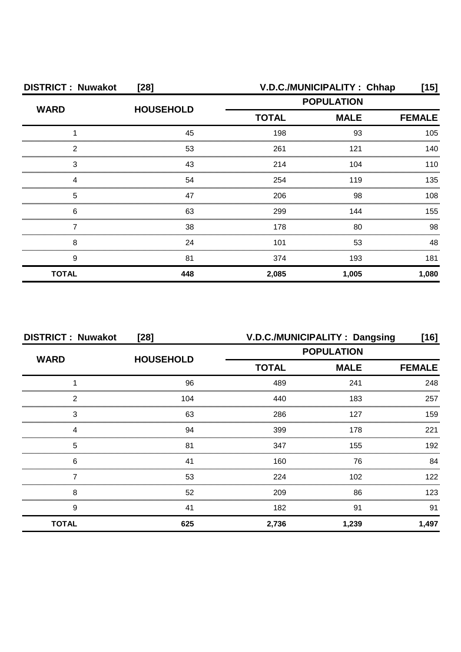| <b>DISTRICT: Nuwakot</b><br>$[28]$ |                  |              | V.D.C./MUNICIPALITY: Chhap | [15]  |
|------------------------------------|------------------|--------------|----------------------------|-------|
| <b>WARD</b>                        | <b>HOUSEHOLD</b> |              | <b>POPULATION</b>          |       |
|                                    |                  | <b>TOTAL</b> | <b>FEMALE</b>              |       |
|                                    | 45               | 198          | 93                         | 105   |
| ົ                                  | 53               | 261          | 121                        | 140   |
| З                                  | 43               | 214          | 104                        | 110   |
|                                    | 54               | 254          | 119                        | 135   |
| 5                                  | 47               | 206          | 98                         | 108   |
| 6                                  | 63               | 299          | 144                        | 155   |
|                                    | 38               | 178          | 80                         | 98    |
| 8                                  | 24               | 101          | 53                         | 48    |
| 9                                  | 81               | 374          | 193                        | 181   |
| <b>TOTAL</b>                       | 448              | 2,085        | 1,005                      | 1,080 |

|              | <b>DISTRICT: Nuwakot</b><br>$[28]$ |                                                  | V.D.C./MUNICIPALITY: Dangsing<br>[16] |               |  |
|--------------|------------------------------------|--------------------------------------------------|---------------------------------------|---------------|--|
| <b>WARD</b>  | <b>HOUSEHOLD</b>                   | <b>POPULATION</b><br><b>TOTAL</b><br><b>MALE</b> |                                       |               |  |
|              |                                    |                                                  |                                       | <b>FEMALE</b> |  |
|              | 96                                 | 489                                              | 241                                   | 248           |  |
| 2            | 104                                | 440                                              | 183                                   | 257           |  |
| 3            | 63                                 | 286                                              | 127                                   | 159           |  |
|              | 94                                 | 399                                              | 178                                   | 221           |  |
| 5            | 81                                 | 347                                              | 155                                   | 192           |  |
| 6            | 41                                 | 160                                              | 76                                    | 84            |  |
|              | 53                                 | 224                                              | 102                                   | 122.          |  |
| 8            | 52                                 | 209                                              | 86                                    | 123           |  |
| 9            | 41                                 | 182                                              | 91                                    | 91            |  |
| <b>TOTAL</b> | 625                                | 2,736                                            | 1,239                                 | 1,497         |  |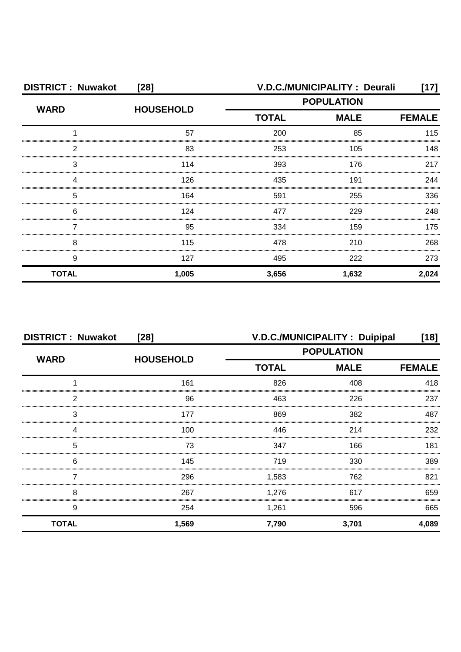| <b>DISTRICT: Nuwakot</b><br>$[28]$ |                  | <b>V.D.C./MUNICIPALITY: Deurali</b><br>[17]      |       |               |
|------------------------------------|------------------|--------------------------------------------------|-------|---------------|
| <b>WARD</b>                        | <b>HOUSEHOLD</b> | <b>POPULATION</b><br><b>MALE</b><br><b>TOTAL</b> |       |               |
|                                    |                  |                                                  |       | <b>FEMALE</b> |
|                                    | 57               | 200                                              | 85    | 115           |
| 2                                  | 83               | 253                                              | 105   | 148           |
| 3                                  | 114              | 393                                              | 176   | 217           |
|                                    | 126              | 435                                              | 191   | 244           |
| 5                                  | 164              | 591                                              | 255   | 336           |
| 6                                  | 124              | 477                                              | 229   | 248           |
|                                    | 95               | 334                                              | 159   | 175           |
| 8                                  | 115              | 478                                              | 210   | 268           |
| 9                                  | 127              | 495                                              | 222   | 273           |
| <b>TOTAL</b>                       | 1,005            | 3,656                                            | 1,632 | 2,024         |

|              | <b>DISTRICT: Nuwakot</b><br>$[28]$ |                   | <b>V.D.C./MUNICIPALITY: Duipipal</b><br>[18] |       |  |
|--------------|------------------------------------|-------------------|----------------------------------------------|-------|--|
| <b>WARD</b>  | <b>HOUSEHOLD</b>                   | <b>POPULATION</b> |                                              |       |  |
|              |                                    | <b>TOTAL</b>      | <b>MALE</b>                                  |       |  |
|              | 161                                | 826               | 408                                          | 418   |  |
| 2            | 96                                 | 463               | 226                                          | 237   |  |
| 3            | 177                                | 869               | 382                                          | 487   |  |
| Δ            | 100                                | 446               | 214                                          | 232   |  |
| 5            | 73                                 | 347               | 166                                          | 181   |  |
| 6            | 145                                | 719               | 330                                          | 389   |  |
|              | 296                                | 1,583             | 762                                          | 821   |  |
| 8            | 267                                | 1,276             | 617                                          | 659   |  |
| 9            | 254                                | 1,261             | 596                                          | 665   |  |
| <b>TOTAL</b> | 1,569                              | 7,790             | 3,701                                        | 4,089 |  |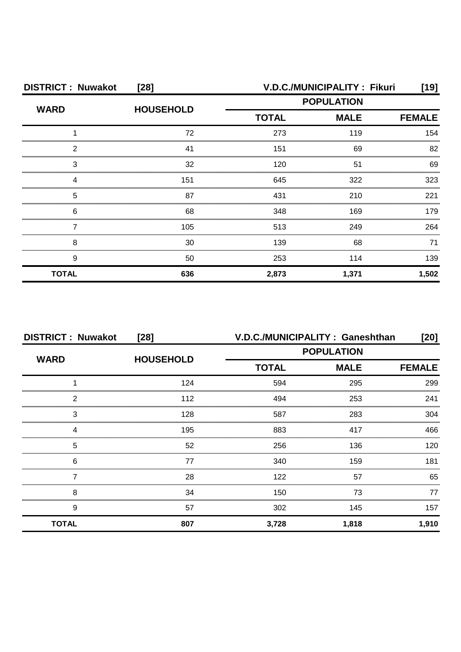| <b>DISTRICT: Nuwakot</b><br>$[28]$ |                  | V.D.C./MUNICIPALITY: Fikuri<br>[19] |                   |               |  |
|------------------------------------|------------------|-------------------------------------|-------------------|---------------|--|
| <b>WARD</b>                        | <b>HOUSEHOLD</b> |                                     | <b>POPULATION</b> |               |  |
|                                    |                  | <b>TOTAL</b><br><b>MALE</b>         |                   | <b>FEMALE</b> |  |
|                                    | 72               | 273                                 | 119               | 154           |  |
| っ                                  |                  | 151                                 | 69                | 82            |  |
| 3                                  | 32               | 120                                 | .51               | 69            |  |
|                                    | 151              | 645                                 | 322               | 323           |  |
| 5                                  | 87               | 431                                 | 210               | 221           |  |
| 6                                  | 68               | 348                                 | 169               | 179           |  |
|                                    | 105              | 513                                 | 249               | 264           |  |
| 8                                  | 30               | 139                                 | 68                | 71            |  |
| 9                                  | 50               | 253                                 | 114               | 139           |  |
| <b>TOTAL</b>                       | 636              | 2,873                               | 1,371             | 1,502         |  |

| <b>DISTRICT: Nuwakot</b><br>$[28]$ |                  | V.D.C./MUNICIPALITY: Ganeshthan<br>[20] |                   |       |
|------------------------------------|------------------|-----------------------------------------|-------------------|-------|
| <b>WARD</b>                        |                  |                                         | <b>POPULATION</b> |       |
|                                    | <b>HOUSEHOLD</b> | <b>TOTAL</b>                            | <b>MALE</b>       |       |
|                                    | 124              | 594                                     | 295               | 299   |
| 2                                  | 112              | 494                                     | 253               | 241   |
| 3                                  | 128              | 587                                     | 283               | 304   |
| 4                                  | 195              | 883                                     | 417               | 466   |
| 5                                  | 52               | 256                                     | 136               | 120   |
| 6                                  | 77               | 340                                     | 159               | 181   |
|                                    | 28               | 122                                     | 57                | 65    |
| 8                                  | 34               | 150                                     | 73                | 77    |
| 9                                  | 57               | 302                                     | 145               | 157   |
| <b>TOTAL</b>                       | 807              | 3,728                                   | 1,818             | 1,910 |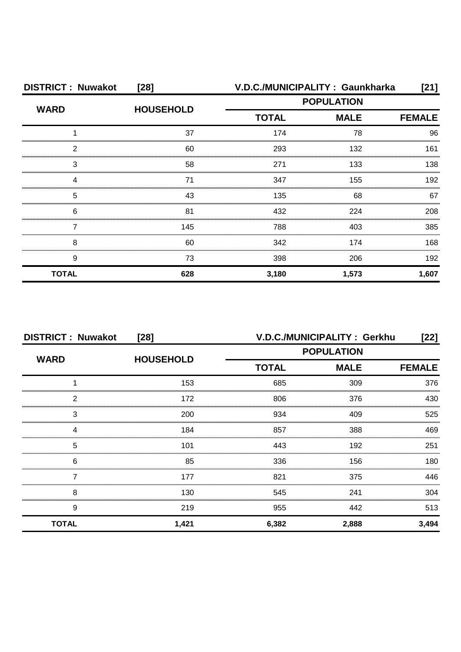| <b>DISTRICT: Nuwakot</b><br>$[28]$ |                  | V.D.C./MUNICIPALITY: Gaunkharka<br>[21] |             |       |
|------------------------------------|------------------|-----------------------------------------|-------------|-------|
| <b>WARD</b>                        | <b>HOUSEHOLD</b> | <b>POPULATION</b>                       |             |       |
|                                    |                  | <b>TOTAL</b>                            | <b>MALE</b> |       |
|                                    | 37               | 174                                     | 78          | 96    |
| 2                                  | 60               | 293                                     | 132         | 161   |
| 3                                  | 58               | 271                                     | 133         | 138   |
| Δ                                  | 71               | 347                                     | 155         | 192   |
| 5                                  | 43               | 135                                     | 68          | 67    |
| 6                                  | 81               | 432                                     | 224         | 208   |
|                                    | 145              | 788                                     | 403         | 385   |
| 8                                  | 60               | 342                                     | 174         | 168   |
| 9                                  | 73               | 398                                     | 206         | 192   |
| <b>TOTAL</b>                       | 628              | 3,180                                   | 1,573       | 1,607 |

| <b>DISTRICT: Nuwakot</b><br>$[28]$ |                  |                   | V.D.C./MUNICIPALITY: Gerkhu | [22]  |
|------------------------------------|------------------|-------------------|-----------------------------|-------|
| <b>WARD</b>                        | <b>HOUSEHOLD</b> | <b>POPULATION</b> |                             |       |
|                                    |                  | <b>TOTAL</b>      | <b>FEMALE</b>               |       |
|                                    | 153              | 685               | 309                         | 376   |
| 2                                  | 172              | 806               | 376                         | 430   |
| 3                                  | 200              | 934               | 409                         | 525   |
|                                    | 184              | 857               | 388                         | 469   |
| 5                                  | 101              | 443               | 192                         | 251   |
| 6                                  | 85               | 336               | 156                         | 180   |
|                                    | 177              | 821               | 375                         | 446   |
| 8                                  | 130              | 545               | 241                         | 304   |
| 9                                  | 219              | 955               | 442                         | 513   |
| <b>TOTAL</b>                       | 1,421            | 6,382             | 2,888                       | 3,494 |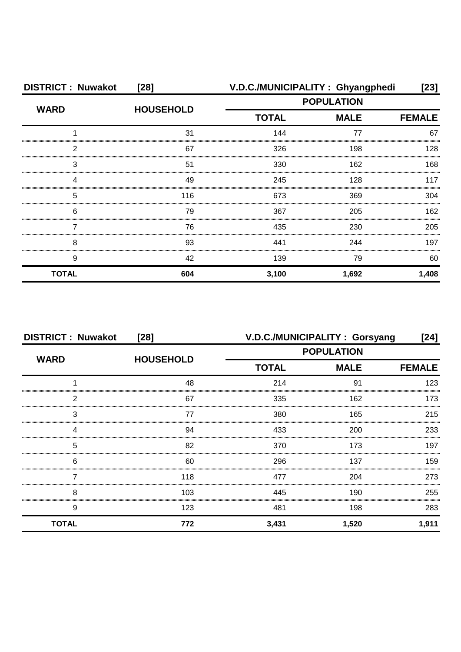| <b>DISTRICT: Nuwakot</b> | $[28]$           |                   | V.D.C./MUNICIPALITY: Ghyangphedi | [23]          |
|--------------------------|------------------|-------------------|----------------------------------|---------------|
| <b>WARD</b>              | <b>HOUSEHOLD</b> | <b>POPULATION</b> |                                  |               |
|                          |                  | <b>TOTAL</b>      | <b>MALE</b>                      | <b>FEMALE</b> |
|                          | 31               | 144               | 77                               | 67            |
| 2                        | 67               | 326               | 198                              | 128           |
| 3                        | 51               | 330               | 162                              | 168           |
| 4                        | 49               | 245               | 128                              | 117           |
| 5                        | 116              | 673               | 369                              | 304           |
| 6                        | 79               | 367               | 205                              | 162           |
|                          | 76               | 435               | 230                              | 205           |
| 8                        | 93               | 441               | 244                              | 197           |
| 9                        | 42               | 139               | 79                               | 60            |
| <b>TOTAL</b>             | 604              | 3,100             | 1,692                            | 1,408         |

| <b>DISTRICT: Nuwakot</b><br>$[28]$ |                  | V.D.C./MUNICIPALITY: Gorsyang<br>[24] |             |               |
|------------------------------------|------------------|---------------------------------------|-------------|---------------|
| <b>WARD</b>                        | <b>HOUSEHOLD</b> | <b>POPULATION</b>                     |             |               |
|                                    |                  | <b>TOTAL</b>                          | <b>MALE</b> | <b>FEMALE</b> |
|                                    | 48               | 214                                   | 91          | 123           |
| っ                                  | 67               | 335                                   | 162         | 173           |
| 3                                  | 77               | 380                                   | 165         | 215           |
|                                    | 94               | 433                                   | 200         | 233           |
| 5                                  | 82               | 370                                   | 173         | 197           |
| 6                                  | 60               | 296                                   | 137         | 159           |
|                                    | 118              | 477                                   | 204         | 273           |
| 8                                  | 103              | 445                                   | 190         | 255           |
| 9                                  | 123              | 481                                   | 198         | 283           |
| <b>TOTAL</b>                       | 772              | 3,431                                 | 1,520       | 1,911         |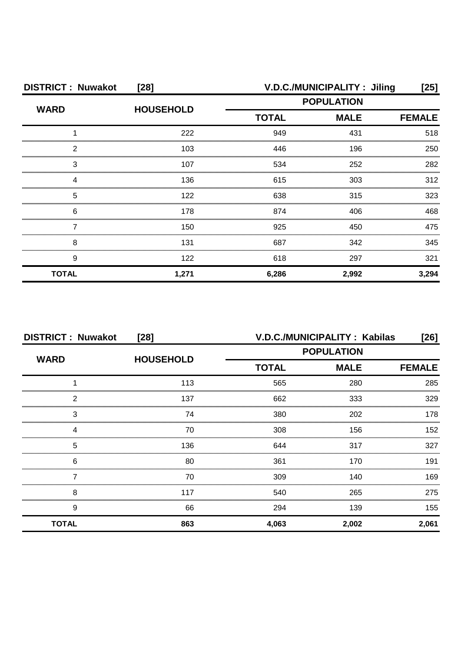| <b>DISTRICT: Nuwakot</b><br>$[28]$ |                  |                   | V.D.C./MUNICIPALITY: Jiling | [25]          |
|------------------------------------|------------------|-------------------|-----------------------------|---------------|
| <b>WARD</b>                        | <b>HOUSEHOLD</b> | <b>POPULATION</b> |                             |               |
|                                    |                  | <b>TOTAL</b>      | <b>MALE</b>                 | <b>FEMALE</b> |
|                                    | 222              | 949               | 431                         | 518           |
| 2                                  | 103              | 446               | 196                         | 250           |
| 3                                  | 107              | 534               | 252                         | 282           |
| 4                                  | 136              | 615               | 303                         | 312           |
| 5                                  | 122              | 638               | 315                         | 323           |
| 6                                  | 178              | 874               | 406                         | 468           |
|                                    | 150              | 925               | 450                         | 475           |
| 8                                  | 131              | 687               | 342                         | 345           |
| 9                                  | 122              | 618               | 297                         | 321           |
| <b>TOTAL</b>                       | 1,271            | 6,286             | 2,992                       | 3,294         |

| <b>DISTRICT: Nuwakot</b><br>$[28]$ |                  |              | V.D.C./MUNICIPALITY: Kabilas<br>[26] |       |  |
|------------------------------------|------------------|--------------|--------------------------------------|-------|--|
| <b>WARD</b>                        | <b>HOUSEHOLD</b> |              | <b>POPULATION</b>                    |       |  |
|                                    |                  | <b>TOTAL</b> | <b>MALE</b>                          |       |  |
|                                    | 113              | 565          | 280                                  | 285   |  |
| 2                                  | 137              | 662          | 333                                  | 329   |  |
| 3                                  | 74               | 380          | 202                                  | 178   |  |
|                                    | 70               | 308          | 156                                  | 152   |  |
| 5                                  | 136              | 644          | 317                                  | 327   |  |
| 6                                  | 80               | 361          | 170                                  | 191   |  |
|                                    | 70               | 309          | 140                                  | 169   |  |
| 8                                  | 117              | 540          | 265                                  | 275   |  |
| 9                                  | 66               | 294          | 139                                  | 155   |  |
| <b>TOTAL</b>                       | 863              | 4,063        | 2,002                                | 2,061 |  |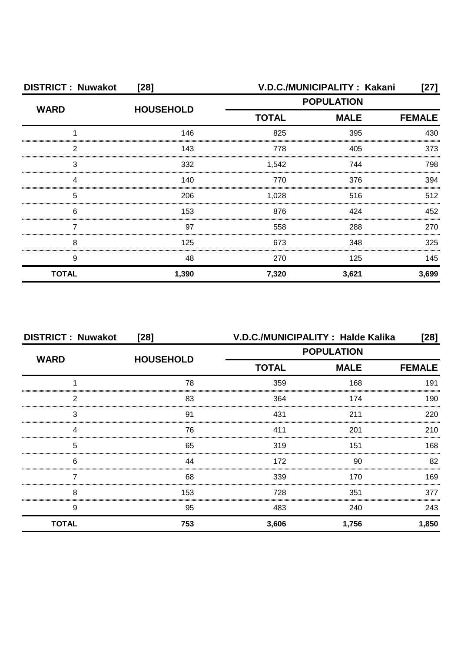| <b>DISTRICT: Nuwakot</b><br>$[28]$ |                  | V.D.C./MUNICIPALITY: Kakani<br>[27] |             |               |
|------------------------------------|------------------|-------------------------------------|-------------|---------------|
| <b>WARD</b>                        | <b>HOUSEHOLD</b> | <b>POPULATION</b>                   |             |               |
|                                    |                  | <b>TOTAL</b>                        | <b>MALE</b> | <b>FEMALE</b> |
|                                    | 146              | 825                                 | 395         | 430           |
| 2                                  | 143              | 778                                 | 405         | 373           |
| 3                                  | 332              | 1,542                               | 744         | 798           |
|                                    | 140              | 770                                 | 376         | 394           |
| 5                                  | 206              | 1,028                               | 516         | 512           |
| 6                                  | 153              | 876                                 | 424         | 452           |
|                                    | 97               | 558                                 | 288         | 270           |
| 8                                  | 125              | 673                                 | 348         | 325           |
| 9                                  | 48               | 270                                 | 125         | 145           |
| <b>TOTAL</b>                       | 1,390            | 7,320                               | 3,621       | 3,699         |

| <b>DISTRICT: Nuwakot</b> | $[28]$           | V.D.C./MUNICIPALITY: Halde Kalika |             | [28]  |
|--------------------------|------------------|-----------------------------------|-------------|-------|
| <b>WARD</b>              | <b>HOUSEHOLD</b> | <b>POPULATION</b>                 |             |       |
|                          |                  | <b>TOTAL</b>                      | <b>MALE</b> |       |
|                          | 78               | 359                               | 168         | 191   |
| 2                        | 83               | 364                               | 174         | 190   |
| 3                        | 91               | 431                               | 211         | 220   |
|                          | 76               | 411                               | 201         | 210   |
| 5                        | 65               | 319                               | 151         | 168   |
| 6                        | 44               | 172                               | 90          | 82    |
|                          | 68               | 339                               | 170         | 169   |
| 8                        | 153              | 728                               | 351         | 377   |
| 9                        | 95               | 483                               | 240         | 243   |
| <b>TOTAL</b>             | 753              | 3,606                             | 1,756       | 1,850 |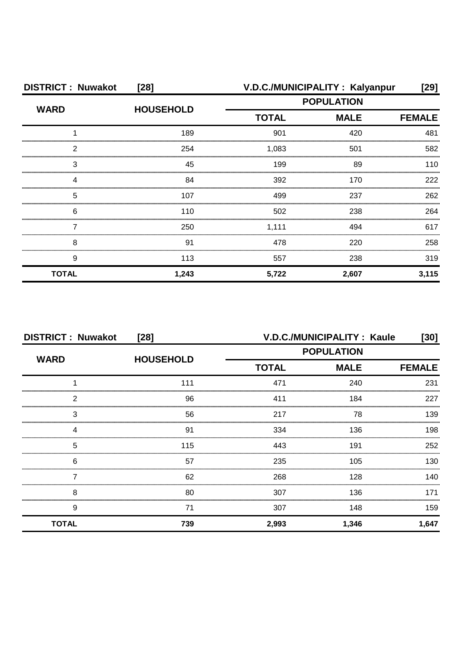| <b>DISTRICT: Nuwakot</b> | $[28]$           |                   | V.D.C./MUNICIPALITY: Kalyanpur | [29]  |  |
|--------------------------|------------------|-------------------|--------------------------------|-------|--|
| <b>WARD</b>              | <b>HOUSEHOLD</b> | <b>POPULATION</b> |                                |       |  |
|                          |                  | <b>TOTAL</b>      | <b>MALE</b>                    |       |  |
|                          | 189              | 901               | 420                            | 481   |  |
| っ                        | 254              | 1,083             | 501                            | 582   |  |
| 3                        | 45               | 199               | 89                             | 110   |  |
|                          | 84               | 392               | 170                            | 222   |  |
| 5                        | 107              | 499               | 237                            | 262   |  |
| 6                        | 110              | 502               | 238                            | 264   |  |
|                          | 250              | 1,111             | 494                            | 617   |  |
| 8                        | 91               | 478               | 220                            | 258   |  |
| 9                        | 113              | 557               | 238                            | 319   |  |
| <b>TOTAL</b>             | 1,243            | 5,722             | 2,607                          | 3,115 |  |

| <b>DISTRICT: Nuwakot</b><br>$[28]$ |                  |              | V.D.C./MUNICIPALITY: Kaule | [30]          |
|------------------------------------|------------------|--------------|----------------------------|---------------|
| <b>WARD</b>                        | <b>HOUSEHOLD</b> |              | <b>POPULATION</b>          |               |
|                                    |                  | <b>TOTAL</b> | <b>MALE</b>                | <b>FEMALE</b> |
|                                    | 111              | 471          | 240                        | 231           |
| っ                                  | 96               | 411          | 184                        | 227           |
| 3                                  | 56               | 217          | 78                         | 139           |
|                                    | 91               | 334          | 136                        | 198           |
| 5                                  | 115              | 443          | 191                        | 252           |
| 6                                  | 57               | 235          | 105                        | 130           |
|                                    | 62               | 268          | 128                        | 140.          |
| 8                                  | 80               | 307          | 136                        | 171           |
| 9                                  | 71               | 307          | 148                        | 159           |
| <b>TOTAL</b>                       | 739              | 2,993        | 1,346                      | 1,647         |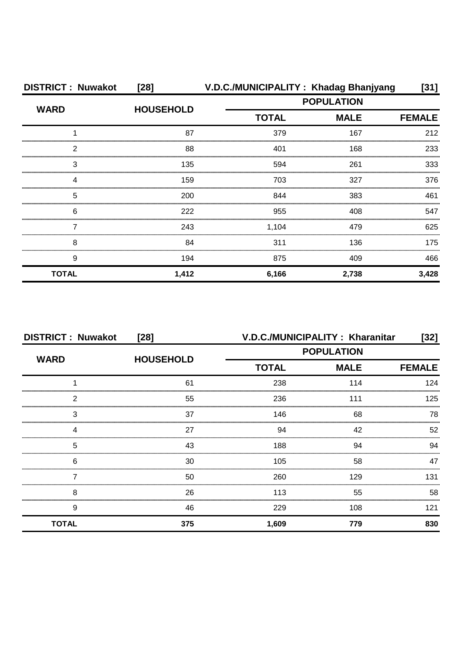| <b>DISTRICT: Nuwakot</b> | $[28]$           |                   | V.D.C./MUNICIPALITY: Khadag Bhanjyang | [31]          |
|--------------------------|------------------|-------------------|---------------------------------------|---------------|
| <b>WARD</b>              |                  | <b>POPULATION</b> |                                       |               |
|                          | <b>HOUSEHOLD</b> | <b>TOTAL</b>      | <b>MALE</b>                           | <b>FEMALE</b> |
|                          | 87               | 379               | 167                                   | 212           |
| 2                        | 88               | 401               | 168                                   | 233           |
| 3                        | 135              | 594               | 261                                   | 333           |
| Δ                        | 159              | 703               | 327                                   | 376           |
| 5                        | 200              | 844               | 383                                   | 461           |
| 6                        | 222              | 955               | 408                                   | 547           |
|                          | 243              | 1,104             | 479                                   | 625           |
| 8                        | 84               | 311               | 136                                   | 175           |
| 9                        | 194              | 875               | 409                                   | 466           |
| <b>TOTAL</b>             | 1,412            | 6,166             | 2,738                                 | 3,428         |

| <b>DISTRICT: Nuwakot</b><br>$[28]$ |                  | V.D.C./MUNICIPALITY: Kharanitar<br>[32] |     |               |
|------------------------------------|------------------|-----------------------------------------|-----|---------------|
| <b>WARD</b>                        | <b>HOUSEHOLD</b> | <b>POPULATION</b>                       |     |               |
|                                    |                  | <b>MALE</b><br><b>TOTAL</b>             |     | <b>FEMALE</b> |
|                                    | 61               | 238                                     | 114 | 124           |
| 2                                  | 55               | 236                                     | 111 | 125           |
| 3                                  | 37               | 146                                     | 68  | 78            |
|                                    | 27               | 94                                      | 42  | 52            |
| 5                                  | 43               | 188                                     | 94  | 94            |
| 6                                  | 30               | 105                                     | 58  | 47            |
|                                    | 50               | 260                                     | 129 | 131           |
| 8                                  | 26               | 113                                     | 55  | 58            |
| 9                                  | 46               | 229                                     | 108 | 121           |
| <b>TOTAL</b>                       | 375              | 1,609                                   | 779 | 830           |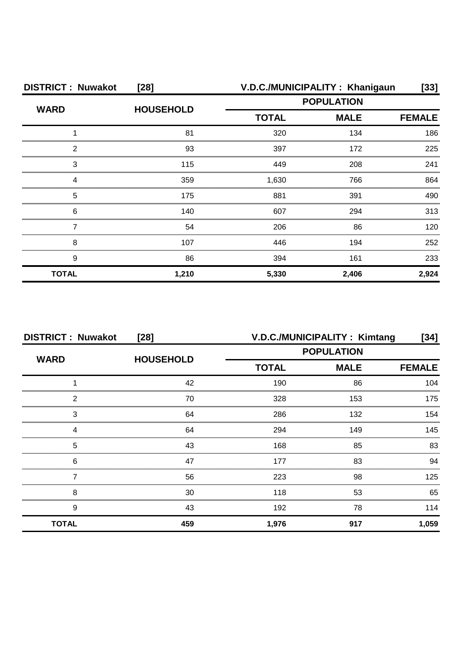| <b>DISTRICT: Nuwakot</b> | V.D.C./MUNICIPALITY: Khanigaun<br>$[28]$ |                   |               | [33]  |
|--------------------------|------------------------------------------|-------------------|---------------|-------|
| <b>WARD</b>              | <b>HOUSEHOLD</b>                         | <b>POPULATION</b> |               |       |
|                          |                                          | <b>TOTAL</b>      | <b>FEMALE</b> |       |
|                          | 81                                       | 320               | 134           | 186   |
| っ                        | 93                                       | 397               | 172           | 225   |
| З                        | 115                                      | 449               | 208           | 241   |
|                          | 359                                      | 1,630             | 766           | 864   |
| 5                        | 175                                      | 881               | 391           | 490   |
| 6                        | 140                                      | 607               | 294           | 313   |
|                          | 54                                       | 206               | 86            | 120   |
| 8                        | 107                                      | 446               | 194           | 252   |
| 9                        | 86                                       | 394               | 161           | 233   |
| <b>TOTAL</b>             | 1,210                                    | 5,330             | 2,406         | 2,924 |

| <b>DISTRICT: Nuwakot</b><br>$[28]$ |                  | V.D.C./MUNICIPALITY: Kimtang<br>[34] |                   |               |
|------------------------------------|------------------|--------------------------------------|-------------------|---------------|
| <b>WARD</b>                        | <b>HOUSEHOLD</b> |                                      | <b>POPULATION</b> |               |
|                                    |                  | <b>MALE</b><br><b>TOTAL</b>          |                   | <b>FEMALE</b> |
|                                    | 42               | 190                                  | 86                | 104           |
| 2                                  | 70               | 328                                  | 153               | 175           |
| 3                                  | 64               | 286                                  | 132               | 154           |
|                                    | 64               | 294                                  | 149               | 145           |
| 5                                  | 43               | 168                                  | 85                | 83            |
| 6                                  | 47               | 177                                  | 83                | 94            |
|                                    | 56               | 223                                  | 98                | 125           |
| 8                                  | 30               | 118                                  | 53                | 65            |
| 9                                  | 43               | 192                                  | 78                | 114           |
| <b>TOTAL</b>                       | 459              | 1,976                                | 917               | 1,059         |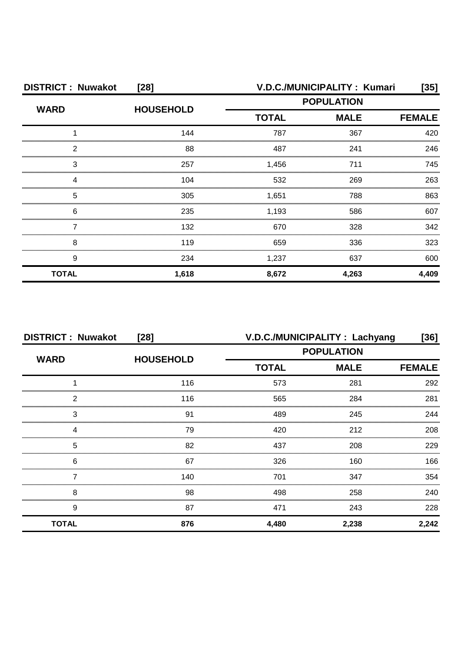| <b>DISTRICT: Nuwakot</b><br>$[28]$ |                  | V.D.C./MUNICIPALITY: Kumari<br>[35] |             |               |
|------------------------------------|------------------|-------------------------------------|-------------|---------------|
| <b>WARD</b>                        | <b>HOUSEHOLD</b> | <b>POPULATION</b>                   |             |               |
|                                    |                  | <b>TOTAL</b>                        | <b>MALE</b> | <b>FEMALE</b> |
|                                    | 144              | 787                                 | 367         | 420           |
| ົ                                  | 88               | 487                                 | 241         | 246           |
| 3                                  | 257              | 1,456                               | 711         | 745           |
|                                    | 104              | 532                                 | 269         | 263           |
| 5                                  | 305              | 1,651                               | 788         | 863           |
| 6                                  | 235              | 1,193                               | 586         | 607           |
|                                    | 132              | 670                                 | 328         | 342           |
| 8                                  | 119              | 659                                 | 336         | 323           |
| 9                                  | 234              | 1,237                               | 637         | 600           |
| <b>TOTAL</b>                       | 1,618            | 8,672                               | 4,263       | 4,409         |

| <b>DISTRICT: Nuwakot</b><br>$[28]$ |                  | V.D.C./MUNICIPALITY : Lachyang<br>[36] |             |               |
|------------------------------------|------------------|----------------------------------------|-------------|---------------|
| <b>WARD</b>                        | <b>HOUSEHOLD</b> | <b>POPULATION</b>                      |             |               |
|                                    |                  | <b>TOTAL</b>                           | <b>MALE</b> | <b>FEMALE</b> |
|                                    | 116              | 573                                    | 281         | 292           |
| 2                                  | 116              | 565                                    | 284         | 281           |
| 3                                  | .91              | 489                                    | 245         | 244           |
|                                    | 79               | 420                                    | 212         | 208           |
| 5                                  | 82               | 437                                    | 208         | 229           |
| 6                                  | 67               | 326                                    | 160         | 166           |
|                                    | 140              | 701                                    | 347         | 354           |
| 8                                  | 98               | 498                                    | 258         | 240           |
| 9                                  | 87               | 471                                    | 243         | 228           |
| <b>TOTAL</b>                       | 876              | 4,480                                  | 2,238       | 2,242         |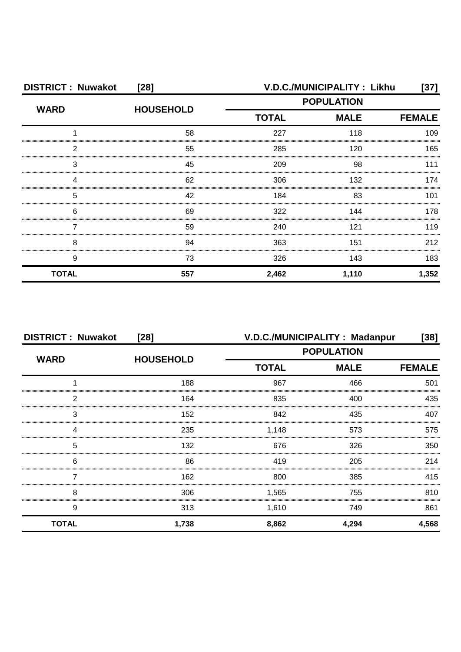| <b>DISTRICT: Nuwakot</b><br>$[28]$ |                  | V.D.C./MUNICIPALITY: Likhu<br>[37] |                              |       |
|------------------------------------|------------------|------------------------------------|------------------------------|-------|
| <b>WARD</b>                        | <b>HOUSEHOLD</b> | <b>POPULATION</b>                  |                              |       |
|                                    |                  | <b>TOTAL</b>                       | <b>MALE</b><br><b>FEMALE</b> |       |
|                                    | 58               | 227                                | 118                          | 109   |
| っ                                  | 55               | 285                                | 120                          | 165   |
| 3                                  | 45               | 209                                | 98                           | 111   |
|                                    | 62               | 306                                | 132                          | 174   |
| 5                                  | 42               | 184                                | 83                           | 101   |
| 6                                  | 69               | 322                                | 144                          | 178   |
|                                    | 59               | 240                                | 121                          | 119   |
| 8                                  | 94               | 363                                | 151                          | 212   |
| 9                                  | 73               | 326                                | 143                          | 183   |
| <b>TOTAL</b>                       | 557              | 2,462                              | 1,110                        | 1,352 |

| <b>DISTRICT: Nuwakot</b><br>$[28]$ |                  | V.D.C./MUNICIPALITY: Madanpur<br>[38] |             |               |
|------------------------------------|------------------|---------------------------------------|-------------|---------------|
|                                    |                  | <b>POPULATION</b>                     |             |               |
| <b>WARD</b>                        | <b>HOUSEHOLD</b> | <b>TOTAL</b>                          | <b>MALE</b> | <b>FEMALE</b> |
|                                    | 188              | 967                                   | 466         | 501           |
| 2                                  | 164              | 835                                   | 400         | 435           |
| 3                                  | 152              | 842                                   | 435         | 407           |
| Δ                                  | 235              | 1,148                                 | 573         | 575           |
| 5                                  | 132              | 676                                   | 326         | 350           |
| 6                                  | 86               | 419                                   | 205         | 214           |
|                                    | 162              | 800                                   | 385         | 415           |
| 8                                  | 306              | 1,565                                 | 755         | 810           |
| 9                                  | 313              | 1,610                                 | 749         | 861           |
| <b>TOTAL</b>                       | 1,738            | 8,862                                 | 4,294       | 4,568         |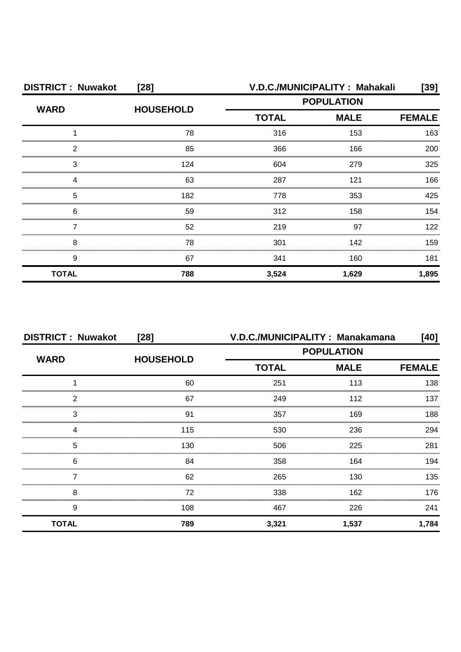| <b>DISTRICT: Nuwakot</b><br>$[28]$ |                  |                   | V.D.C./MUNICIPALITY: Mahakali | [39]          |
|------------------------------------|------------------|-------------------|-------------------------------|---------------|
| <b>WARD</b>                        | <b>HOUSEHOLD</b> | <b>POPULATION</b> |                               |               |
|                                    |                  | <b>TOTAL</b>      | <b>MALE</b>                   | <b>FEMALE</b> |
|                                    | 78               | 316               | 153                           | 163           |
| 2                                  | 85               | 366               | 166                           | 200           |
| З                                  | 124              | 604               | 279                           | 325           |
|                                    | 63               | 287               | 121                           | 166           |
| 5                                  | 182              | 778               | 353                           | 425           |
| 6                                  | 59               | 312               | 158                           | 154           |
|                                    | 52               | 219               | 97                            | 122           |
| 8                                  | 78               | 301               | 142                           | 159           |
| 9                                  | 67               | 341               | 160                           | 181           |
| <b>TOTAL</b>                       | 788              | 3,524             | 1,629                         | 1,895         |

| <b>DISTRICT: Nuwakot</b> | $[28]$           | V.D.C./MUNICIPALITY: Manakamana |             | [40]          |
|--------------------------|------------------|---------------------------------|-------------|---------------|
|                          |                  | <b>POPULATION</b>               |             |               |
| <b>WARD</b>              | <b>HOUSEHOLD</b> | <b>TOTAL</b>                    | <b>MALE</b> | <b>FEMALE</b> |
|                          | 60               | 251                             | 113         | 138           |
| 2                        | 67               | 249                             | 112         | 137           |
| 3                        | .91              | 357                             | 169         | 188           |
| 4                        | 115              | 530                             | 236         | 294           |
| 5                        | 130              | 506                             | 225         | 281           |
| 6                        | 84               | 358                             | 164         | 194           |
|                          | 62               | 265                             | 130         | 135           |
| 8                        | 72               | 338                             | 162         | 176           |
| 9                        | 108              | 467                             | 226         | 241           |
| <b>TOTAL</b>             | 789              | 3,321                           | 1,537       | 1,784         |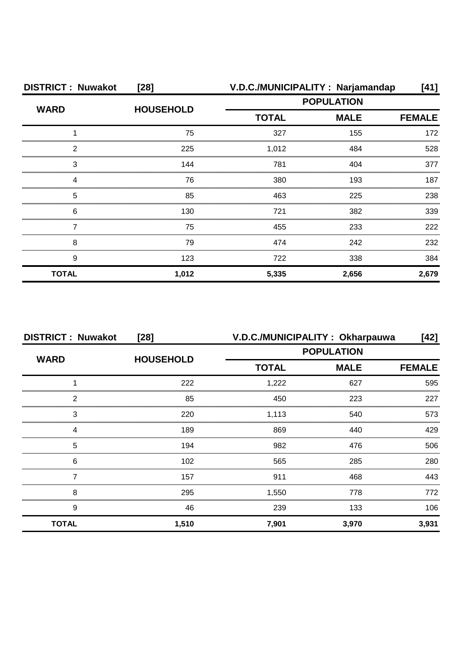| <b>DISTRICT: Nuwakot</b> | $[28]$           | V.D.C./MUNICIPALITY: Narjamandap<br>[41] |                   |       |
|--------------------------|------------------|------------------------------------------|-------------------|-------|
| <b>WARD</b>              | <b>HOUSEHOLD</b> |                                          | <b>POPULATION</b> |       |
|                          |                  | <b>TOTAL</b>                             | <b>MALE</b>       |       |
|                          | 75               | 327                                      | 155               | 172   |
| 2                        | 225              | 1,012                                    | 484               | 528   |
| З                        | 144              | 781                                      | 404               | 377   |
|                          | 76               | 380                                      | 193               | 187   |
| 5                        | 85               | 463                                      | 225               | 238   |
| 6                        | 130              | 721                                      | 382               | 339   |
|                          | 75               | 455                                      | 233               | 222   |
| 8                        | 79               | 474                                      | 242               | 232   |
| 9                        | 123              | 722                                      | 338               | 384   |
| <b>TOTAL</b>             | 1,012            | 5,335                                    | 2,656             | 2,679 |

| <b>DISTRICT: Nuwakot</b><br>$[28]$ |                  | V.D.C./MUNICIPALITY: Okharpauwa<br>[42] |             |               |
|------------------------------------|------------------|-----------------------------------------|-------------|---------------|
|                                    |                  | <b>POPULATION</b>                       |             |               |
| <b>WARD</b>                        | <b>HOUSEHOLD</b> | <b>TOTAL</b>                            | <b>MALE</b> | <b>FEMALE</b> |
|                                    | 222              | 1,222                                   | 627         | 595           |
| 2                                  | 85               | 450                                     | 223         | 227           |
| 3                                  | 220              | 1.113                                   | 540         | 573           |
| Δ                                  | 189              | 869                                     | 440         | 429           |
| 5                                  | 194              | 982                                     | 476         | 506           |
| 6                                  | 102              | 565                                     | 285         | 280           |
|                                    | 157              | 911                                     | 468         | 443           |
| 8                                  | 295              | 1,550                                   | 778         | 772           |
| 9                                  | 46               | 239                                     | 133         | 106           |
| <b>TOTAL</b>                       | 1,510            | 7,901                                   | 3,970       | 3,931         |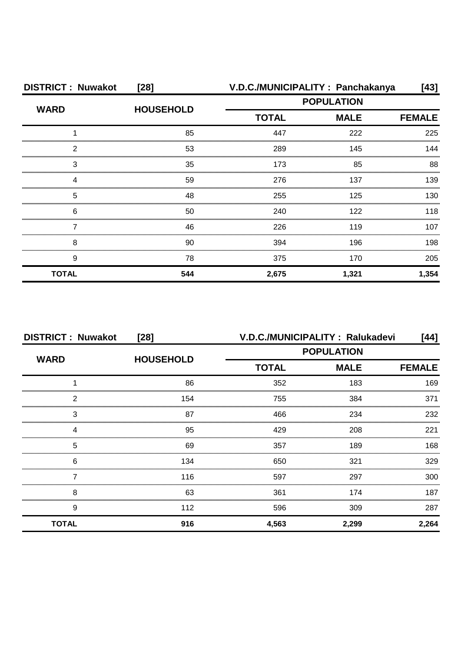| <b>DISTRICT: Nuwakot</b> | $[28]$           |              | V.D.C./MUNICIPALITY: Panchakanya | [43]          |
|--------------------------|------------------|--------------|----------------------------------|---------------|
| <b>WARD</b>              |                  |              | <b>POPULATION</b>                |               |
|                          | <b>HOUSEHOLD</b> | <b>TOTAL</b> | <b>MALE</b>                      | <b>FEMALE</b> |
|                          | 85               | 447          | 222                              | 225           |
| 2                        | 53               | 289          | 145                              | 144           |
| 3                        | 35               | 173          | 85                               | 88            |
|                          | 59               | 276          | 137                              | 139           |
| 5                        | 48               | 255          | 125                              | 130           |
| 6                        | 50               | 240          | 122                              | 118           |
|                          | 46               | 226          | 119                              | 107           |
| 8                        | 90               | 394          | 196                              | 198           |
| 9                        | 78               | 375          | 170                              | 205           |
| <b>TOTAL</b>             | 544              | 2,675        | 1,321                            | 1,354         |

| <b>DISTRICT: Nuwakot</b><br>$[28]$ |                  | V.D.C./MUNICIPALITY: Ralukadevi<br>[44] |             |               |
|------------------------------------|------------------|-----------------------------------------|-------------|---------------|
|                                    | <b>HOUSEHOLD</b> | <b>POPULATION</b>                       |             |               |
| <b>WARD</b>                        |                  | <b>TOTAL</b>                            | <b>MALE</b> | <b>FEMALE</b> |
|                                    | 86               | 352                                     | 183         | 169           |
| っ                                  | 154              | 755                                     | 384         | 371           |
| 3                                  | 87               | 466                                     | 234         | 232           |
|                                    | 95               | 429                                     | 208         | 221           |
| 5                                  | 69               | 357                                     | 189         | 168           |
| 6                                  | 134              | 650                                     | 321         | 329           |
|                                    | 116              | 597                                     | 297         | 300           |
| 8                                  | 63               | 361                                     | 174         | 187           |
| 9                                  | 112              | 596                                     | 309         | 287           |
| <b>TOTAL</b>                       | 916              | 4,563                                   | 2,299       | 2,264         |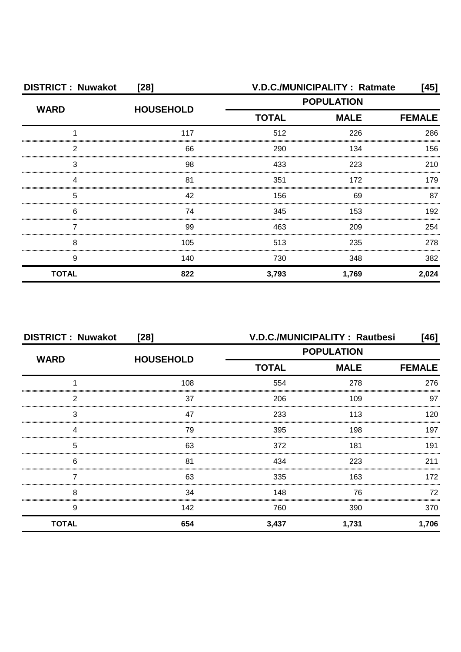| <b>DISTRICT: Nuwakot</b> | $[28]$           | <b>V.D.C./MUNICIPALITY: Ratmate</b> |             |               |
|--------------------------|------------------|-------------------------------------|-------------|---------------|
| <b>WARD</b>              | <b>HOUSEHOLD</b> | <b>POPULATION</b>                   |             |               |
|                          |                  | <b>TOTAL</b>                        | <b>MALE</b> | <b>FEMALE</b> |
|                          | 117              | 512                                 | 226         | 286           |
| 2                        | 66               | 290                                 | 134         | 156           |
| З                        | 98               | 433                                 | 223         | 210           |
|                          | 81               | 351                                 | 172         | 179           |
| 5                        | 42               | 156                                 | 69          | 87            |
| 6                        | 74               | 345                                 | 153         | 192           |
|                          | 99               | 463                                 | 209         | 254           |
| 8                        | 105              | 513                                 | 235         | 278           |
| 9                        | 140              | 730                                 | 348         | 382           |
| <b>TOTAL</b>             | 822              | 3,793                               | 1,769       | 2,024         |

| <b>DISTRICT: Nuwakot</b><br>$[28]$ |                  | V.D.C./MUNICIPALITY: Rautbesi<br>[46] |                   |               |
|------------------------------------|------------------|---------------------------------------|-------------------|---------------|
|                                    |                  |                                       | <b>POPULATION</b> |               |
| <b>WARD</b>                        | <b>HOUSEHOLD</b> | <b>TOTAL</b>                          | <b>MALE</b>       | <b>FEMALE</b> |
|                                    | 108              | 554                                   | 278               | 276           |
| 2                                  | 37               | 206                                   | 109               | 97            |
| 3                                  | 47               | 233                                   | 113               | 120           |
| Δ                                  | 79               | 395                                   | 198               | 197           |
| 5                                  | 63               | 372                                   | 181               | 191           |
| 6                                  | 81               | 434                                   | 223               | 211           |
|                                    | 63               | 335                                   | 163               | 172           |
| 8                                  | 34               | 148                                   | 76                | 72            |
| 9                                  | 142              | 760                                   | 390               | 370           |
| <b>TOTAL</b>                       | 654              | 3,437                                 | 1,731             | 1,706         |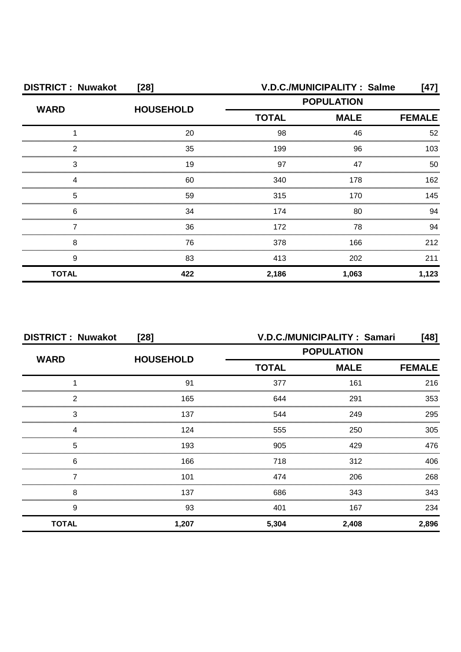| <b>DISTRICT: Nuwakot</b> | $[28]$           |                   | V.D.C./MUNICIPALITY: Salme | [47]          |
|--------------------------|------------------|-------------------|----------------------------|---------------|
| <b>WARD</b>              | <b>HOUSEHOLD</b> | <b>POPULATION</b> |                            |               |
|                          |                  | <b>TOTAL</b>      | <b>MALE</b>                | <b>FEMALE</b> |
|                          | 20               | 98                | 46                         | 52            |
| 2                        | 35               | 199               | 96                         | 103           |
| З                        | 19               | 97                | 47                         | 50            |
|                          | 60               | 340               | 178                        | 162           |
| 5                        | 59               | 315               | 170                        | 145           |
| 6                        | 34               | 174               | 80                         | 94            |
|                          | 36               | 172               | 78                         | 94            |
| 8                        | 76               | 378               | 166                        | 212           |
| 9                        | 83               | 413               | 202                        | 211           |
| <b>TOTAL</b>             | 422              | 2,186             | 1,063                      | 1,123         |

| <b>DISTRICT: Nuwakot</b><br>$[28]$ |                  | V.D.C./MUNICIPALITY: Samari<br>[48] |             |               |
|------------------------------------|------------------|-------------------------------------|-------------|---------------|
| <b>WARD</b>                        | <b>HOUSEHOLD</b> | <b>POPULATION</b>                   |             |               |
|                                    |                  | <b>TOTAL</b>                        | <b>MALE</b> | <b>FEMALE</b> |
|                                    | 91               | 377                                 | 161         | 216           |
| 2                                  | 165              | 644                                 | 291         | 353           |
| 3                                  | 137              | 544                                 | 249         | 295           |
|                                    | 124              | 555                                 | 250         | 305           |
| 5                                  | 193              | 905                                 | 429         | 476           |
| 6                                  | 166              | 718                                 | 312         | 406           |
|                                    | 101              | 474                                 | 206         | 268           |
| 8                                  | 137              | 686                                 | 343         | 343           |
| 9                                  | 93               | 401                                 | 167         | 234           |
| <b>TOTAL</b>                       | 1,207            | 5,304                               | 2,408       | 2,896         |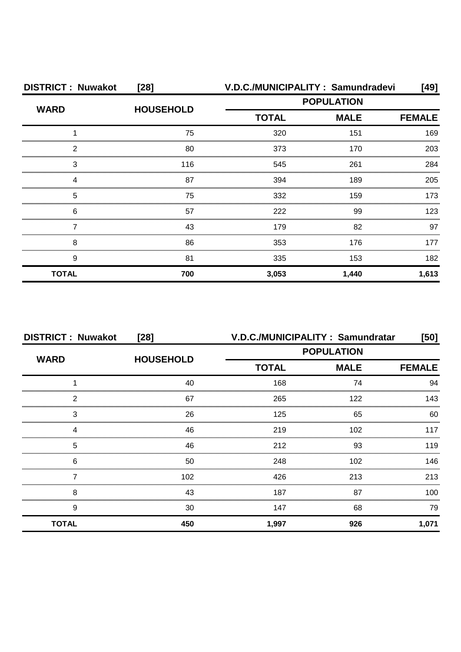| <b>DISTRICT: Nuwakot</b> | $[28]$           |              | V.D.C./MUNICIPALITY: Samundradevi | [49]          |
|--------------------------|------------------|--------------|-----------------------------------|---------------|
| <b>WARD</b>              | <b>HOUSEHOLD</b> |              | <b>POPULATION</b>                 |               |
|                          |                  | <b>TOTAL</b> | <b>MALE</b>                       | <b>FEMALE</b> |
|                          | 75               | 320          | 151                               | 169           |
| 2                        | 80               | 373          | 170                               | 203           |
| 3                        | 116              | 545          | 261                               | 284           |
| Δ                        | 87               | 394          | 189                               | 205           |
| 5                        | 75               | 332          | 159                               | 173           |
| 6                        | 57               | 222          | 99                                | 123           |
|                          | 43               | 179          | 82                                | 97            |
| 8                        | 86               | 353          | 176                               | 177           |
| 9                        | 81               | 335          | 153                               | 182           |
| <b>TOTAL</b>             | 700              | 3,053        | 1,440                             | 1,613         |

| V.D.C./MUNICIPALITY: Samundratar<br><b>DISTRICT: Nuwakot</b><br>$[28]$ |                  |              | [50]              |               |
|------------------------------------------------------------------------|------------------|--------------|-------------------|---------------|
| <b>WARD</b>                                                            | <b>HOUSEHOLD</b> |              | <b>POPULATION</b> |               |
|                                                                        |                  | <b>TOTAL</b> | <b>MALE</b>       | <b>FEMALE</b> |
|                                                                        | 40               | 168          | 74                | 94            |
| 2                                                                      | 67               | 265          | 122               | 143           |
| 3                                                                      | 26               | 125          | 65                | 60            |
|                                                                        | 46               | 219          | 102               | 117           |
| 5                                                                      | 46               | 212          | 93                | 119           |
| 6                                                                      | 50               | 248          | 102               | 146           |
|                                                                        | 102              | 426          | 213               | 213           |
| 8                                                                      | 43               | 187          | 87                | 100.          |
| 9                                                                      | 30               | 147          | 68                | 79            |
| <b>TOTAL</b>                                                           | 450              | 1,997        | 926               | 1,071         |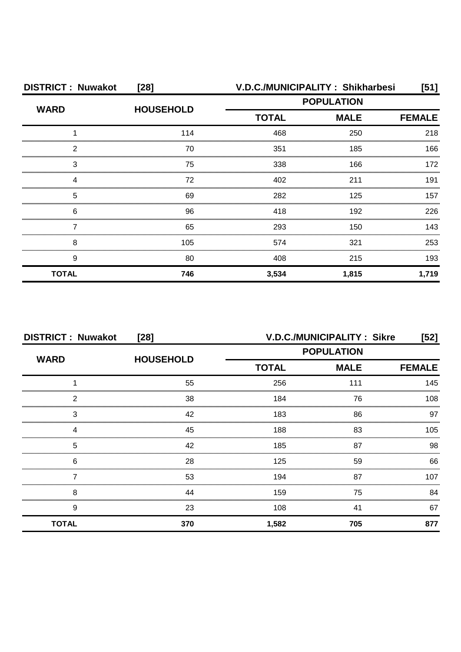| <b>DISTRICT: Nuwakot</b> | $[28]$           |       | V.D.C./MUNICIPALITY: Shikharbesi                 | [51]  |
|--------------------------|------------------|-------|--------------------------------------------------|-------|
| <b>WARD</b>              | <b>HOUSEHOLD</b> |       | <b>POPULATION</b><br><b>TOTAL</b><br><b>MALE</b> |       |
|                          |                  |       |                                                  |       |
|                          | 114              | 468   | 250                                              | 218   |
| 2                        | 70               | 351   | 185                                              | 166   |
| 3                        | 75               | 338   | 166                                              | 172   |
| Δ                        | 72               | 402   | 211                                              | 191   |
| 5                        | 69               | 282   | 125                                              | 157   |
| 6                        | 96               | 418   | 192                                              | 226   |
|                          | 65               | 293   | 150                                              | 143   |
| 8                        | 105              | 574   | 321                                              | 253   |
| 9                        | 80               | 408   | 215                                              | 193   |
| <b>TOTAL</b>             | 746              | 3,534 | 1,815                                            | 1,719 |

|              | <b>DISTRICT: Nuwakot</b><br>$[28]$ |                   | <b>V.D.C./MUNICIPALITY: Sikre</b> | [52] |  |
|--------------|------------------------------------|-------------------|-----------------------------------|------|--|
| <b>WARD</b>  | <b>HOUSEHOLD</b>                   | <b>POPULATION</b> |                                   |      |  |
|              |                                    | <b>TOTAL</b>      | <b>MALE</b>                       |      |  |
|              | 55                                 | 256               | 111                               | 145  |  |
| っ            | 38                                 | 184               | 76                                | 108  |  |
| 3            | 42                                 | 183               | 86                                | 97   |  |
|              | 45                                 | 188               | 83                                | 105  |  |
| 5            | 42                                 | 185               | 87                                | 98   |  |
| 6            | 28                                 | 125               | 59                                | 66   |  |
|              | 53                                 | 194               | 87                                | 107  |  |
| 8            | 44                                 | 159               | 75                                | 84   |  |
| 9            | 23                                 | 108               | 41                                | 67   |  |
| <b>TOTAL</b> | 370                                | 1,582             | 705                               | 877  |  |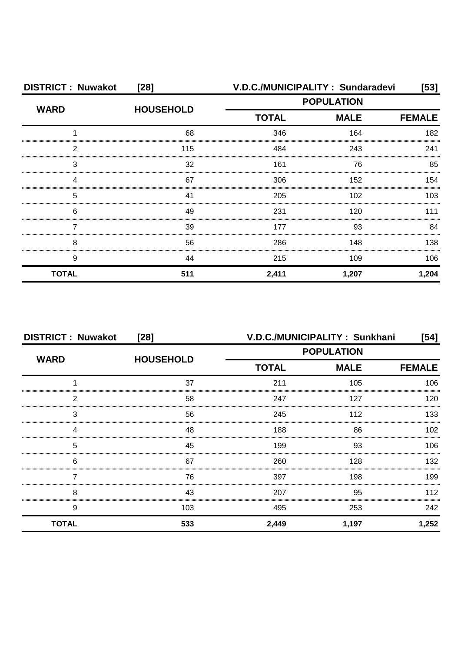| <b>DISTRICT: Nuwakot</b> | $[28]$           | V.D.C./MUNICIPALITY: Sundaradevi |                                                  |       |  |
|--------------------------|------------------|----------------------------------|--------------------------------------------------|-------|--|
| <b>WARD</b>              | <b>HOUSEHOLD</b> |                                  | <b>POPULATION</b><br><b>TOTAL</b><br><b>MALE</b> |       |  |
|                          |                  |                                  |                                                  |       |  |
|                          | 68               | 346                              | 164                                              | 182   |  |
| 2                        | 115              | 484                              | 243                                              | 241   |  |
| 3                        | 32               | 161                              | 76                                               | 85    |  |
|                          | 67               | 306                              | 152                                              | 154   |  |
| 5                        | 41               | 205                              | 102                                              | 103   |  |
| 6                        | 49               | 231                              | 120                                              | 111   |  |
|                          | 39               | 177                              | 93                                               | 84    |  |
| 8                        | 56               | 286                              | 148                                              | 138   |  |
| 9                        | 44               | 215                              | 109                                              | 106   |  |
| <b>TOTAL</b>             | 511              | 2,411                            | 1,207                                            | 1,204 |  |

|              | <b>DISTRICT: Nuwakot</b><br>$[28]$ |                   | V.D.C./MUNICIPALITY: Sunkhani<br>[54] |               |  |
|--------------|------------------------------------|-------------------|---------------------------------------|---------------|--|
| <b>WARD</b>  |                                    | <b>POPULATION</b> |                                       |               |  |
|              | <b>HOUSEHOLD</b>                   | <b>TOTAL</b>      | <b>MALE</b>                           | <b>FEMALE</b> |  |
|              | 37                                 | 211               | 105                                   | 106           |  |
| 2            | 58                                 | 247               | 127                                   | 120           |  |
| 3            | 56                                 | 245               | 112                                   | 133.          |  |
| Δ            | 48                                 | 188               | 86                                    | 102           |  |
| 5            | 45                                 | 199               | 93                                    | 106           |  |
| 6            | 67                                 | 260               | 128                                   | 132           |  |
|              | 76                                 | 397               | 198                                   | 199           |  |
| 8            | 43                                 | 207               | 95                                    | 112           |  |
| 9            | 103                                | 495               | 253                                   | 242           |  |
| <b>TOTAL</b> | 533                                | 2,449             | 1,197                                 | 1,252         |  |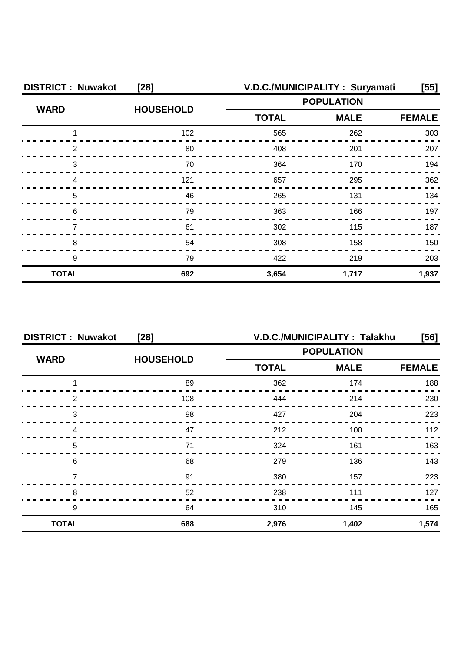| <b>DISTRICT: Nuwakot</b><br>$[28]$ |                  |                   | V.D.C./MUNICIPALITY: Suryamati | $[55]$        |
|------------------------------------|------------------|-------------------|--------------------------------|---------------|
| <b>WARD</b>                        | <b>HOUSEHOLD</b> | <b>POPULATION</b> |                                |               |
|                                    |                  | <b>TOTAL</b>      | <b>MALE</b>                    | <b>FEMALE</b> |
|                                    | 102              | 565               | 262                            | 303           |
| っ                                  | 80               | 408               | 201                            | 207           |
| З                                  | 70               | 364               | 170                            | 194           |
|                                    | 121              | 657               | 295                            | 362           |
| 5                                  | 46               | 265               | 131                            | 134           |
| 6                                  | 79               | 363               | 166                            | 197           |
|                                    | 61               | 302               | 115                            | 187           |
| 8                                  | 54               | 308               | 158                            | 150           |
| 9                                  | 79               | 422               | 219                            | 203           |
| <b>TOTAL</b>                       | 692              | 3,654             | 1,717                          | 1,937         |

| <b>DISTRICT: Nuwakot</b> | $[28]$           | V.D.C./MUNICIPALITY: Talakhu<br>[56] |             |               |
|--------------------------|------------------|--------------------------------------|-------------|---------------|
|                          |                  | <b>POPULATION</b>                    |             |               |
| <b>WARD</b>              | <b>HOUSEHOLD</b> | <b>TOTAL</b>                         | <b>MALE</b> | <b>FEMALE</b> |
|                          | 89               | 362                                  | 174         | 188           |
| 2                        | 108              | 444                                  | 214         | 230           |
| 3                        | 98               | 427                                  | 204         | 223           |
| Δ                        | 47               | 212                                  | 100         | 112           |
| 5                        | 71               | 324                                  | 161         | 163           |
| 6                        | 68               | 279                                  | 136         | 143.          |
|                          | .91              | 380                                  | 157         | 223           |
| 8                        | 52               | 238                                  | 111         | 127           |
| 9                        | 64               | 310                                  | 145         | 165           |
| <b>TOTAL</b>             | 688              | 2,976                                | 1,402       | 1,574         |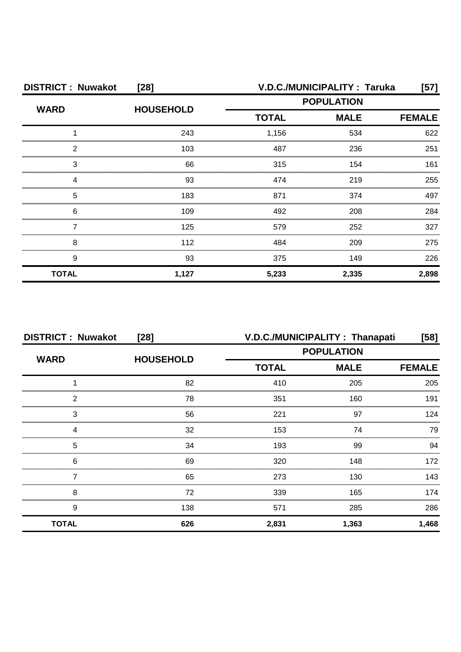| <b>DISTRICT: Nuwakot</b><br>$[28]$ |                  | V.D.C./MUNICIPALITY: Taruka |                                                                   | [57]  |
|------------------------------------|------------------|-----------------------------|-------------------------------------------------------------------|-------|
| <b>WARD</b>                        | <b>HOUSEHOLD</b> |                             | <b>POPULATION</b><br><b>TOTAL</b><br><b>MALE</b><br><b>FEMALE</b> |       |
|                                    |                  |                             |                                                                   |       |
|                                    | 243              | 1,156                       | 534                                                               | 622   |
| 2                                  | 103              | 487                         | 236                                                               | 251   |
| 3                                  | 66               | 315                         | 154                                                               | 161   |
|                                    | 93               | 474                         | 219                                                               | 255   |
| 5                                  | 183              | 871                         | 374                                                               | 497   |
| 6                                  | 109              | 492                         | 208                                                               | 284   |
|                                    | 125              | 579                         | 252                                                               | 327   |
| 8                                  | 112              | 484                         | 209                                                               | 275   |
| 9                                  | 93               | 375                         | 149                                                               | 226   |
| <b>TOTAL</b>                       | 1,127            | 5,233                       | 2,335                                                             | 2,898 |

| <b>DISTRICT: Nuwakot</b> | $[28]$           | V.D.C./MUNICIPALITY: Thanapati<br>[58] |                   |       |
|--------------------------|------------------|----------------------------------------|-------------------|-------|
| <b>WARD</b>              | <b>HOUSEHOLD</b> |                                        | <b>POPULATION</b> |       |
|                          |                  | <b>TOTAL</b>                           | <b>FEMALE</b>     |       |
|                          | 82               | 410                                    | 205               | 205   |
| 2                        | 78               | 351                                    | 160               | 191   |
| 3                        | 56               | 221                                    | 97                | 124   |
|                          | 32               | 153                                    | 74                | 79    |
| 5                        | 34               | 193                                    | 99                | 94    |
| 6                        | 69               | 320                                    | 148               | 172   |
|                          | 65               | 273                                    | 130               | 143   |
| 8                        | 72               | 339                                    | 165               | 174   |
| 9                        | 138              | 571                                    | 285               | 286   |
| <b>TOTAL</b>             | 626              | 2,831                                  | 1,363             | 1,468 |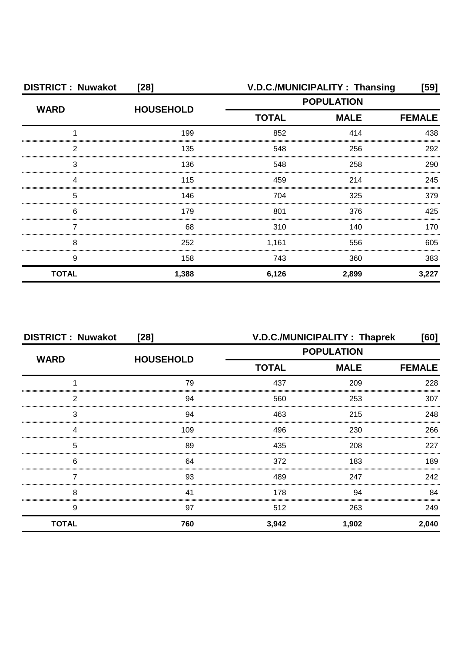| <b>DISTRICT: Nuwakot</b> | $[28]$           |                   | V.D.C./MUNICIPALITY: Thansing | [59]          |
|--------------------------|------------------|-------------------|-------------------------------|---------------|
| <b>WARD</b>              | <b>HOUSEHOLD</b> | <b>POPULATION</b> |                               |               |
|                          |                  | <b>TOTAL</b>      | <b>MALE</b>                   | <b>FEMALE</b> |
|                          | 199              | 852               | 414                           | 438           |
| ႒                        | 135              | 548               | 256                           | 292           |
| 3                        | 136              | 548               | 258                           | 290           |
|                          | 115              | 459               | 214                           | 245           |
| 5                        | 146              | 704               | 325                           | 379           |
| 6                        | 179              | 801               | 376                           | 425           |
|                          | 68               | 310               | 140                           | 170           |
| 8                        | 252              | 1,161             | 556                           | 605           |
| 9                        | 158              | 743               | 360                           | 383           |
| <b>TOTAL</b>             | 1,388            | 6,126             | 2,899                         | 3,227         |

| <b>DISTRICT: Nuwakot</b> | $[28]$           |              | V.D.C./MUNICIPALITY: Thaprek<br>[60] |       |  |
|--------------------------|------------------|--------------|--------------------------------------|-------|--|
| <b>WARD</b>              | <b>HOUSEHOLD</b> |              | <b>POPULATION</b>                    |       |  |
|                          |                  | <b>TOTAL</b> | <b>MALE</b><br><b>FEMALE</b>         |       |  |
|                          | 79               | 437          | 209                                  | 228   |  |
| っ                        | 94               | 560          | 253                                  | 307   |  |
| 3                        | 94               | 463          | 215                                  | 248   |  |
|                          | 109              | 496          | 230                                  | 266   |  |
| 5                        | 89               | 435          | 208                                  | 227   |  |
| 6                        | 64               | 372          | 183                                  | 189   |  |
|                          | 93               | 489          | 247                                  | 242   |  |
| 8                        | 41               | 178          | 94                                   | 84    |  |
| 9                        | 97               | 512          | 263                                  | 249   |  |
| <b>TOTAL</b>             | 760              | 3,942        | 1,902                                | 2,040 |  |